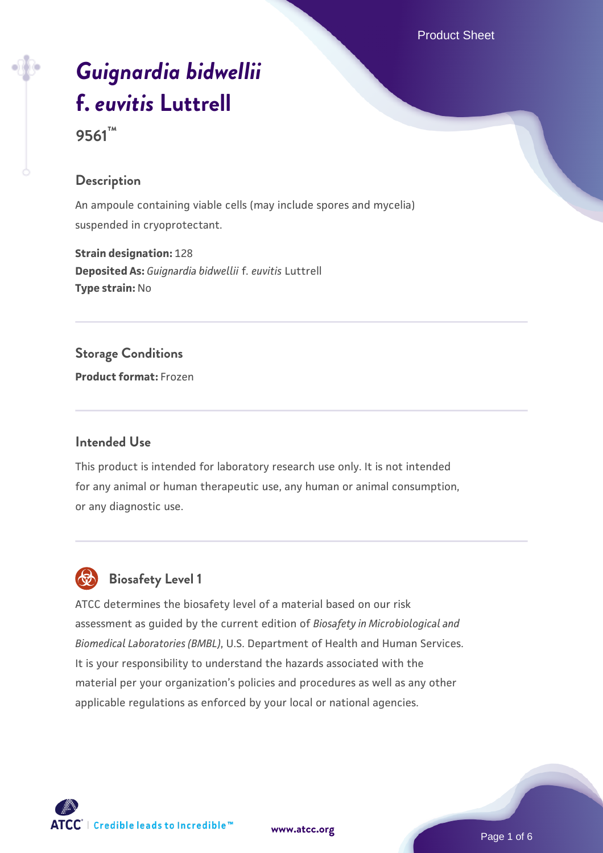# *[Guignardia bidwellii](https://www.atcc.org/products/9561)* **[f.](https://www.atcc.org/products/9561)** *[euvitis](https://www.atcc.org/products/9561)* **[Luttrell](https://www.atcc.org/products/9561)**

**9561™**

## **Description**

An ampoule containing viable cells (may include spores and mycelia) suspended in cryoprotectant.

**Strain designation:** 128 **Deposited As:** *Guignardia bidwellii* f. *euvitis* Luttrell **Type strain:** No

#### **Storage Conditions**

**Product format:** Frozen

## **Intended Use**

This product is intended for laboratory research use only. It is not intended for any animal or human therapeutic use, any human or animal consumption, or any diagnostic use.



# **Biosafety Level 1**

ATCC determines the biosafety level of a material based on our risk assessment as guided by the current edition of *Biosafety in Microbiological and Biomedical Laboratories (BMBL)*, U.S. Department of Health and Human Services. It is your responsibility to understand the hazards associated with the material per your organization's policies and procedures as well as any other applicable regulations as enforced by your local or national agencies.

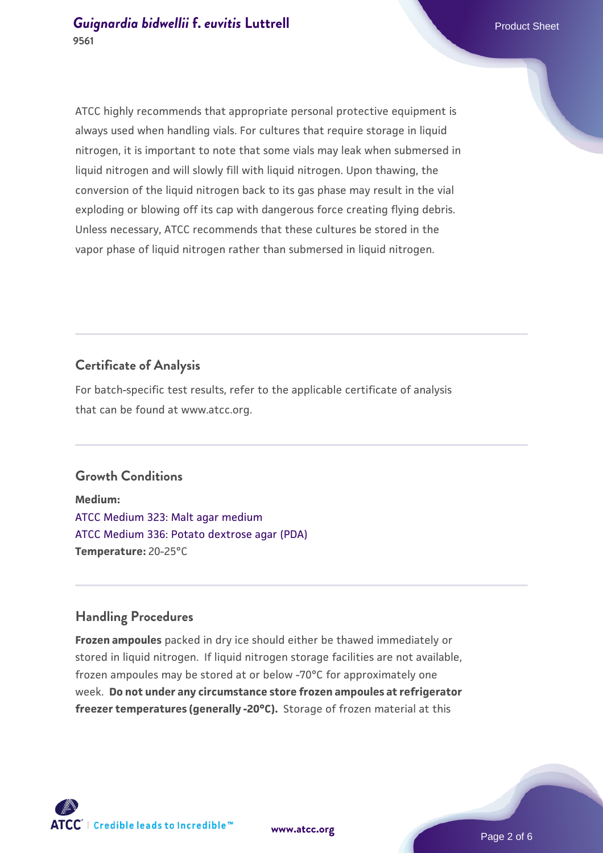ATCC highly recommends that appropriate personal protective equipment is always used when handling vials. For cultures that require storage in liquid nitrogen, it is important to note that some vials may leak when submersed in liquid nitrogen and will slowly fill with liquid nitrogen. Upon thawing, the conversion of the liquid nitrogen back to its gas phase may result in the vial exploding or blowing off its cap with dangerous force creating flying debris. Unless necessary, ATCC recommends that these cultures be stored in the vapor phase of liquid nitrogen rather than submersed in liquid nitrogen.

# **Certificate of Analysis**

For batch-specific test results, refer to the applicable certificate of analysis that can be found at www.atcc.org.

#### **Growth Conditions**

**Medium:**  [ATCC Medium 323: Malt agar medium](https://www.atcc.org/-/media/product-assets/documents/microbial-media-formulations/3/2/3/atcc-medium-323.pdf?rev=58d6457ee20149d7a1c844947569ef92) [ATCC Medium 336: Potato dextrose agar \(PDA\)](https://www.atcc.org/-/media/product-assets/documents/microbial-media-formulations/3/3/6/atcc-medium-336.pdf?rev=d9160ad44d934cd8b65175461abbf3b9) **Temperature:** 20-25°C

## **Handling Procedures**

**Frozen ampoules** packed in dry ice should either be thawed immediately or stored in liquid nitrogen. If liquid nitrogen storage facilities are not available, frozen ampoules may be stored at or below -70°C for approximately one week. **Do not under any circumstance store frozen ampoules at refrigerator freezer temperatures (generally -20°C).** Storage of frozen material at this

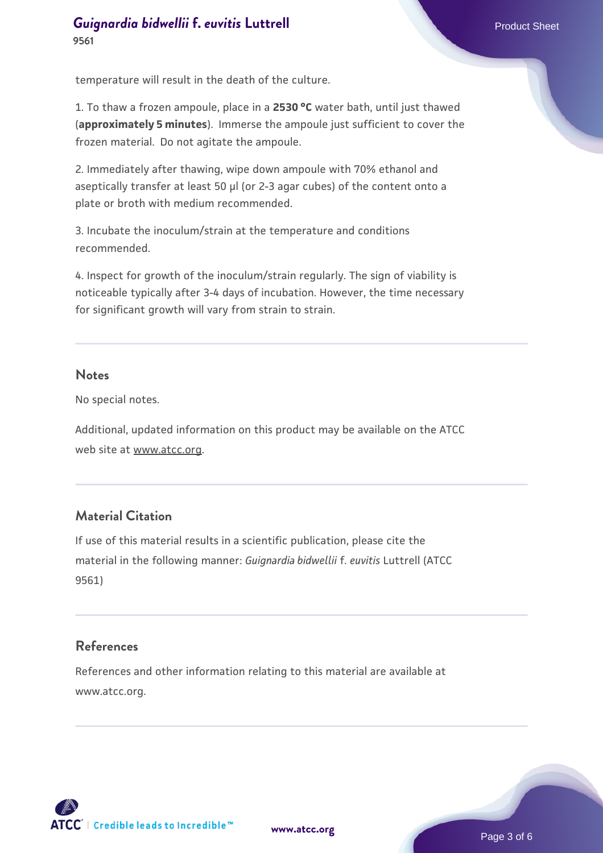# **[Guignardia bidwellii](https://www.atcc.org/products/9561) f. [euvitis](https://www.atcc.org/products/9561) [Luttrell](https://www.atcc.org/products/9561)** Product Sheet **9561**

temperature will result in the death of the culture.

1. To thaw a frozen ampoule, place in a **2530 °C** water bath, until just thawed (**approximately 5 minutes**). Immerse the ampoule just sufficient to cover the frozen material. Do not agitate the ampoule.

2. Immediately after thawing, wipe down ampoule with 70% ethanol and aseptically transfer at least 50 µl (or 2-3 agar cubes) of the content onto a plate or broth with medium recommended.

3. Incubate the inoculum/strain at the temperature and conditions recommended.

4. Inspect for growth of the inoculum/strain regularly. The sign of viability is noticeable typically after 3-4 days of incubation. However, the time necessary for significant growth will vary from strain to strain.

#### **Notes**

No special notes.

Additional, updated information on this product may be available on the ATCC web site at www.atcc.org.

## **Material Citation**

If use of this material results in a scientific publication, please cite the material in the following manner: *Guignardia bidwellii* f. *euvitis* Luttrell (ATCC 9561)

## **References**

References and other information relating to this material are available at www.atcc.org.

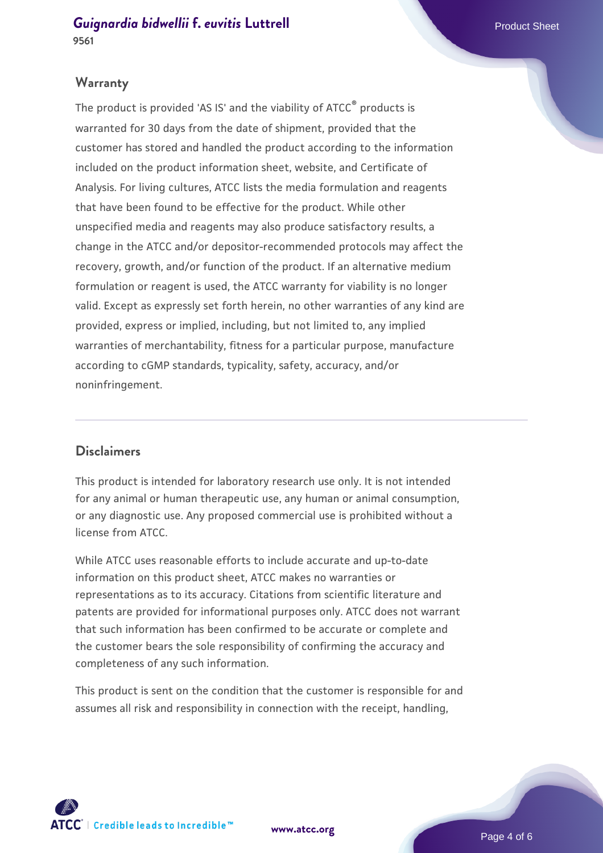## **Warranty**

The product is provided 'AS IS' and the viability of ATCC® products is warranted for 30 days from the date of shipment, provided that the customer has stored and handled the product according to the information included on the product information sheet, website, and Certificate of Analysis. For living cultures, ATCC lists the media formulation and reagents that have been found to be effective for the product. While other unspecified media and reagents may also produce satisfactory results, a change in the ATCC and/or depositor-recommended protocols may affect the recovery, growth, and/or function of the product. If an alternative medium formulation or reagent is used, the ATCC warranty for viability is no longer valid. Except as expressly set forth herein, no other warranties of any kind are provided, express or implied, including, but not limited to, any implied warranties of merchantability, fitness for a particular purpose, manufacture according to cGMP standards, typicality, safety, accuracy, and/or noninfringement.

#### **Disclaimers**

This product is intended for laboratory research use only. It is not intended for any animal or human therapeutic use, any human or animal consumption, or any diagnostic use. Any proposed commercial use is prohibited without a license from ATCC.

While ATCC uses reasonable efforts to include accurate and up-to-date information on this product sheet, ATCC makes no warranties or representations as to its accuracy. Citations from scientific literature and patents are provided for informational purposes only. ATCC does not warrant that such information has been confirmed to be accurate or complete and the customer bears the sole responsibility of confirming the accuracy and completeness of any such information.

This product is sent on the condition that the customer is responsible for and assumes all risk and responsibility in connection with the receipt, handling,



**[www.atcc.org](http://www.atcc.org)**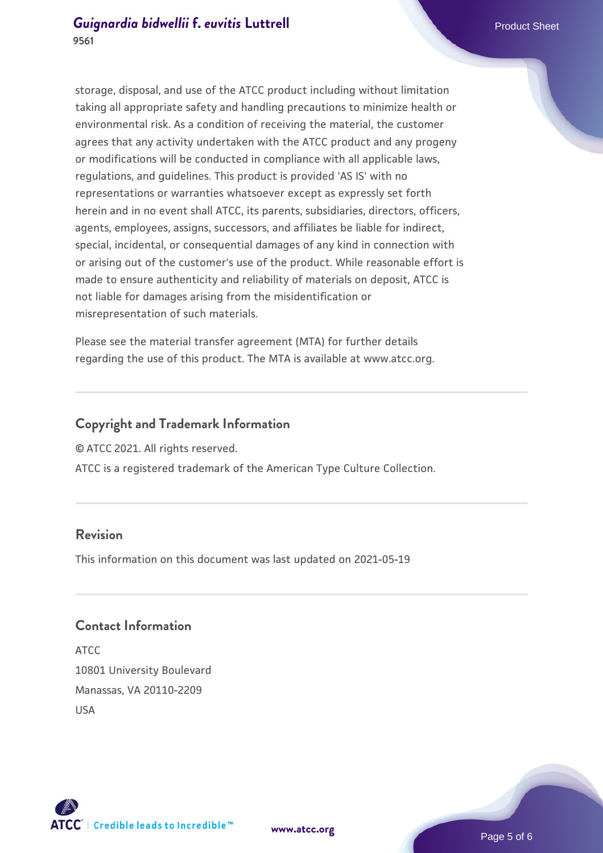storage, disposal, and use of the ATCC product including without limitation taking all appropriate safety and handling precautions to minimize health or environmental risk. As a condition of receiving the material, the customer agrees that any activity undertaken with the ATCC product and any progeny or modifications will be conducted in compliance with all applicable laws, regulations, and guidelines. This product is provided 'AS IS' with no representations or warranties whatsoever except as expressly set forth herein and in no event shall ATCC, its parents, subsidiaries, directors, officers, agents, employees, assigns, successors, and affiliates be liable for indirect, special, incidental, or consequential damages of any kind in connection with or arising out of the customer's use of the product. While reasonable effort is made to ensure authenticity and reliability of materials on deposit, ATCC is not liable for damages arising from the misidentification or misrepresentation of such materials.

Please see the material transfer agreement (MTA) for further details regarding the use of this product. The MTA is available at www.atcc.org.

## **Copyright and Trademark Information**

© ATCC 2021. All rights reserved.

ATCC is a registered trademark of the American Type Culture Collection.

## **Revision**

This information on this document was last updated on 2021-05-19

## **Contact Information**

ATCC 10801 University Boulevard Manassas, VA 20110-2209 USA